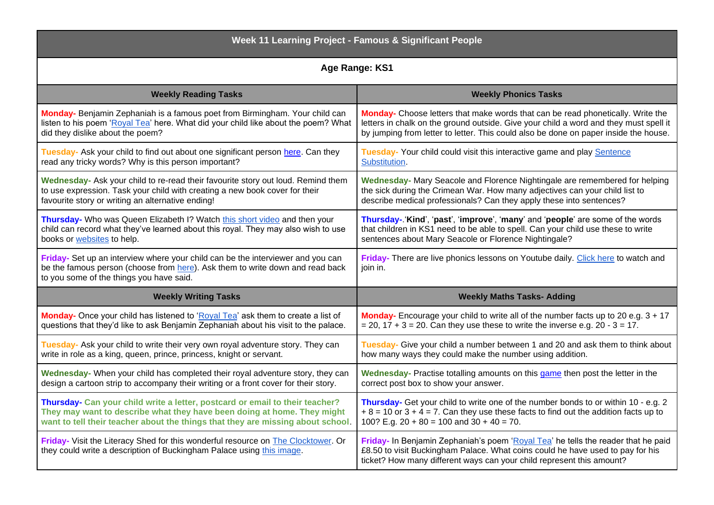| <b>Week 11 Learning Project - Famous &amp; Significant People</b>                                                                                                                                            |                                                                                                                                                                                                                                              |
|--------------------------------------------------------------------------------------------------------------------------------------------------------------------------------------------------------------|----------------------------------------------------------------------------------------------------------------------------------------------------------------------------------------------------------------------------------------------|
| Age Range: KS1                                                                                                                                                                                               |                                                                                                                                                                                                                                              |
| <b>Weekly Reading Tasks</b>                                                                                                                                                                                  | <b>Weekly Phonics Tasks</b>                                                                                                                                                                                                                  |
| Monday- Benjamin Zephaniah is a famous poet from Birmingham. Your child can                                                                                                                                  | Monday- Choose letters that make words that can be read phonetically. Write the                                                                                                                                                              |
| listen to his poem 'Royal Tea' here. What did your child like about the poem? What                                                                                                                           | letters in chalk on the ground outside. Give your child a word and they must spell it                                                                                                                                                        |
| did they dislike about the poem?                                                                                                                                                                             | by jumping from letter to letter. This could also be done on paper inside the house.                                                                                                                                                         |
| Tuesday- Ask your child to find out about one significant person here. Can they                                                                                                                              | Tuesday- Your child could visit this interactive game and play Sentence                                                                                                                                                                      |
| read any tricky words? Why is this person important?                                                                                                                                                         | Substitution.                                                                                                                                                                                                                                |
| Wednesday- Ask your child to re-read their favourite story out loud. Remind them                                                                                                                             | Wednesday- Mary Seacole and Florence Nightingale are remembered for helping                                                                                                                                                                  |
| to use expression. Task your child with creating a new book cover for their                                                                                                                                  | the sick during the Crimean War. How many adjectives can your child list to                                                                                                                                                                  |
| favourite story or writing an alternative ending!                                                                                                                                                            | describe medical professionals? Can they apply these into sentences?                                                                                                                                                                         |
| Thursday- Who was Queen Elizabeth I? Watch this short video and then your                                                                                                                                    | Thursday-.'Kind', 'past', 'improve', 'many' and 'people' are some of the words                                                                                                                                                               |
| child can record what they've learned about this royal. They may also wish to use                                                                                                                            | that children in KS1 need to be able to spell. Can your child use these to write                                                                                                                                                             |
| books or websites to help.                                                                                                                                                                                   | sentences about Mary Seacole or Florence Nightingale?                                                                                                                                                                                        |
| Friday- Set up an interview where your child can be the interviewer and you can<br>be the famous person (choose from here). Ask them to write down and read back<br>to you some of the things you have said. | Friday- There are live phonics lessons on Youtube daily. Click here to watch and<br>join in.                                                                                                                                                 |
| <b>Weekly Writing Tasks</b>                                                                                                                                                                                  | <b>Weekly Maths Tasks- Adding</b>                                                                                                                                                                                                            |
| Monday- Once your child has listened to 'Royal Tea' ask them to create a list of                                                                                                                             | Monday- Encourage your child to write all of the number facts up to 20 e.g. 3 + 17                                                                                                                                                           |
| questions that they'd like to ask Benjamin Zephaniah about his visit to the palace.                                                                                                                          | $= 20$ , 17 + 3 = 20. Can they use these to write the inverse e.g. 20 - 3 = 17.                                                                                                                                                              |
| Tuesday- Ask your child to write their very own royal adventure story. They can                                                                                                                              | Tuesday- Give your child a number between 1 and 20 and ask them to think about                                                                                                                                                               |
| write in role as a king, queen, prince, princess, knight or servant.                                                                                                                                         | how many ways they could make the number using addition.                                                                                                                                                                                     |
| Wednesday- When your child has completed their royal adventure story, they can                                                                                                                               | Wednesday- Practise totalling amounts on this game then post the letter in the                                                                                                                                                               |
| design a cartoon strip to accompany their writing or a front cover for their story.                                                                                                                          | correct post box to show your answer.                                                                                                                                                                                                        |
| Thursday- Can your child write a letter, postcard or email to their teacher?                                                                                                                                 | Thursday- Get your child to write one of the number bonds to or within 10 - e.g. 2                                                                                                                                                           |
| They may want to describe what they have been doing at home. They might                                                                                                                                      | $+8 = 10$ or $3 + 4 = 7$ . Can they use these facts to find out the addition facts up to                                                                                                                                                     |
| want to tell their teacher about the things that they are missing about school.                                                                                                                              | 100? E.g. $20 + 80 = 100$ and $30 + 40 = 70$ .                                                                                                                                                                                               |
| Friday- Visit the Literacy Shed for this wonderful resource on The Clocktower. Or<br>they could write a description of Buckingham Palace using this image.                                                   | Friday- In Benjamin Zephaniah's poem 'Royal Tea' he tells the reader that he paid<br>£8.50 to visit Buckingham Palace. What coins could he have used to pay for his<br>ticket? How many different ways can your child represent this amount? |